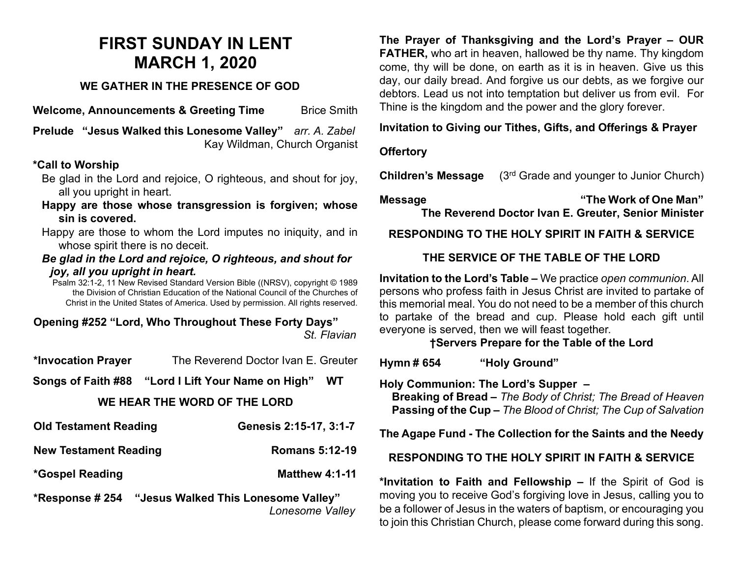# **FIRST SUNDAY IN LENT MARCH 1, 2020**

### **WE GATHER IN THE PRESENCE OF GOD**

**Welcome, Announcements & Greeting Time** Brice Smith

**Prelude "Jesus Walked this Lonesome Valley"** *arr. A. Zabel* Kay Wildman, Church Organist

#### **\*Call to Worship**

- Be glad in the Lord and rejoice, O righteous, and shout for joy, all you upright in heart.
- **Happy are those whose transgression is forgiven; whose sin is covered.**

Happy are those to whom the Lord imputes no iniquity, and in whose spirit there is no deceit.

#### *Be glad in the Lord and rejoice, O righteous, and shout for joy, all you upright in heart.*

Psalm 32:1-2, 11 New Revised Standard Version Bible ((NRSV), copyright © 1989 the Division of Christian Education of the National Council of the Churches of Christ in the United States of America. Used by permission. All rights reserved.

#### **Opening #252 "Lord, Who Throughout These Forty Days"**  *St. Flavian*

| *Invocation Prayer           | The Reverend Doctor Ivan E. Greuter |  |
|------------------------------|-------------------------------------|--|
|                              | <b>WT</b>                           |  |
| WE HEAR THE WORD OF THE LORD |                                     |  |
| <b>Old Testament Reading</b> | Genesis 2:15-17, 3:1-7              |  |

## **New Testament Reading**  Romans 5:12-19

**\*Gospel Reading Matthew 4:1-11**

**\*Response # 254 "Jesus Walked This Lonesome Valley"** *Lonesome Valley* **The Prayer of Thanksgiving and the Lord's Prayer – OUR FATHER,** who art in heaven, hallowed be thy name. Thy kingdom come, thy will be done, on earth as it is in heaven. Give us this day, our daily bread. And forgive us our debts, as we forgive our debtors. Lead us not into temptation but deliver us from evil. For Thine is the kingdom and the power and the glory forever.

#### **Invitation to Giving our Tithes, Gifts, and Offerings & Prayer**

#### **Offertory**

**Children's Message** (3<sup>rd</sup> Grade and younger to Junior Church)

**Message "The Work of One Man" The Reverend Doctor Ivan E. Greuter, Senior Minister**

## **RESPONDING TO THE HOLY SPIRIT IN FAITH & SERVICE**

## **THE SERVICE OF THE TABLE OF THE LORD**

**Invitation to the Lord's Table –** We practice *open communion*. All persons who profess faith in Jesus Christ are invited to partake of this memorial meal. You do not need to be a member of this church to partake of the bread and cup. Please hold each gift until everyone is served, then we will feast together.

## **†Servers Prepare for the Table of the Lord**

**Hymn # 654 "Holy Ground"** 

**Holy Communion: The Lord's Supper –**

 **Breaking of Bread –** *The Body of Christ; The Bread of Heaven*  **Passing of the Cup –** *The Blood of Christ; The Cup of Salvation*

#### **The Agape Fund - The Collection for the Saints and the Needy**

#### **RESPONDING TO THE HOLY SPIRIT IN FAITH & SERVICE**

**\*Invitation to Faith and Fellowship –** If the Spirit of God is moving you to receive God's forgiving love in Jesus, calling you to be a follower of Jesus in the waters of baptism, or encouraging you to join this Christian Church, please come forward during this song.